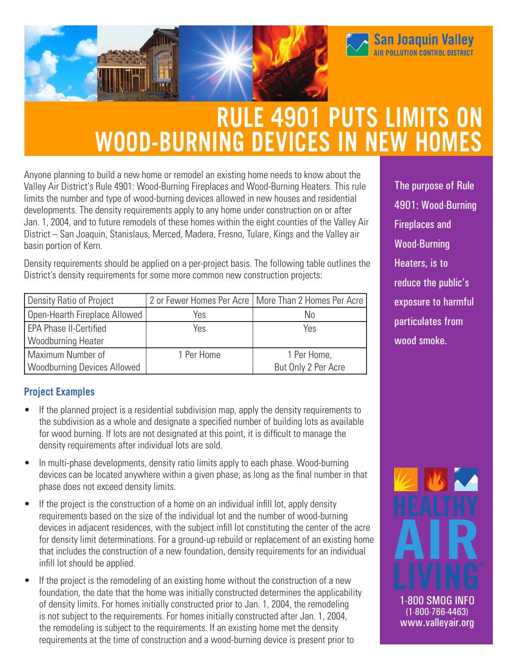

# **RULE 4901 PUTS LIMITS ON WOOD-BURNING DEVICES IN NEW HOMES**

Anyone planning to build a new home or remodel an existing home needs to know about the Valley Air District's Rule 4901: Wood-Burning Fireplaces and Wood-Burning Heaters. This rule limits the number and type of wood-burning devices allowed in new houses and residential developments. The density requirements apply to any home under construction on or after Jan. 1, 2004, and to future remodels of these homes within the eight counties of the Valley Air District – San Joaquin, Stanislaus, Merced, Madera, Fresno, Tulare, Kings and the Valley air basin portion of Kern.

Density requirements should be applied on a per-project basis. The following table outlines the District's density requirements for some more common new construction projects:

| Density Ratio of Project           |            | 2 or Fewer Homes Per Acre   More Than 2 Homes Per Acre |
|------------------------------------|------------|--------------------------------------------------------|
| Open-Hearth Fireplace Allowed      | Yes        | No                                                     |
| EPA Phase II-Certified             | Yes        | Yes                                                    |
| Woodburning Heater                 |            |                                                        |
| Maximum Number of                  | 1 Per Home | 1 Per Home,                                            |
| <b>Woodburning Devices Allowed</b> |            | But Only 2 Per Acre                                    |

### **Project Examples**

- If the planned project is a residential subdivision map, apply the density requirements to the subdivision as a whole and designate a specified number of building lots as available for wood burning. If lots are not designated at this point, it is difficult to manage the density requirements after individual lots are sold.
- In multi-phase developments, density ratio limits apply to each phase. Wood-burning devices can be located anywhere within a given phase, as long as the final number in that phase does not exceed density limits.
- If the project is the construction of a home on an individual infill lot, apply density requirements based on the size of the individual lot and the number of wood-burning devices in adjacent residences, with the subject infill lot constituting the center of the acre for density limit determinations. For a ground-up rebuild or replacement of an existing home that includes the construction of a new foundation, density requirements for an individual infill lot should be applied.
- If the project is the remodeling of an existing home without the construction of a new foundation, the date that the home was initially constructed determines the applicability of density limits. For homes initially constructed prior to Jan. 1, 2004, the remodeling is not subject to the requirements. For homes initially constructed after Jan. 1, 2004, the remodeling is subject to the requirements. If an existing home met the density requirements at the time of construction and a wood-burning device is present prior to

The purpose of Rule 4901: Wood-Burning Fireplaces and Wood-Burning Heaters, is to reduce the public's exposure to harmful particulates from wood smoke.

**San Joaquin Valley**<br>AIR POLLUTION CONTROL DISTRICT